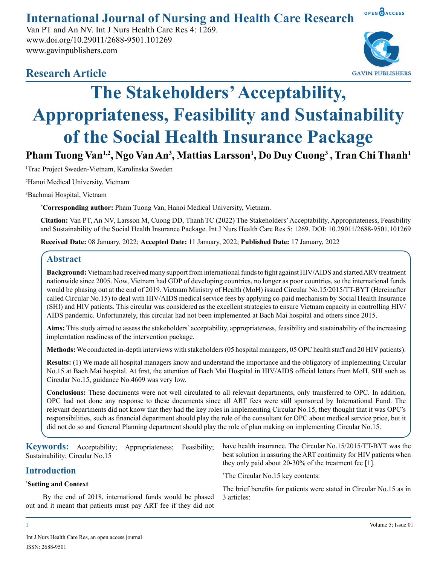**International Journal of Nursing and Health Care Research**

Van PT and An NV. Int J Nurs Health Care Res 4: 1269. www.doi.org/10.29011/2688-9501.101269 www.gavinpublishers.com



OPEN OACCESS

# **Research Article**

# **The Stakeholders' Acceptability, Appropriateness, Feasibility and Sustainability of the Social Health Insurance Package**

Pham Tuong Van<sup>1,2</sup>, Ngo Van An<sup>3</sup>, Mattias Larsson<sup>1</sup>, Do Duy Cuong<sup>3</sup> , Tran Chi Thanh<sup>1</sup>

1 Trac Project Sweden-Vietnam, Karolinska Sweden

2 Hanoi Medical University, Vietnam

3 Bachmai Hospital, Vietnam

**\* Corresponding author:** Pham Tuong Van, Hanoi Medical University, Vietnam.

**Citation:** Van PT, An NV, Larsson M, Cuong DD, ThanhTC (2022) The Stakeholders' Acceptability, Appropriateness, Feasibility and Sustainability of the Social Health Insurance Package. Int J Nurs Health Care Res 5: 1269. DOI: 10.29011/2688-9501.101269

**Received Date:** 08 January, 2022; **Accepted Date:** 11 January, 2022; **Published Date:** 17 January, 2022

# **Abstract**

**Background:** Vietnam had received many support from international funds to fight against HIV/AIDS and started ARV treatment nationwide since 2005. Now, Vietnam had GDP of developing countries, no longer as poor countries, so the international funds would be phasing out at the end of 2019. Vietnam Ministry of Health (MoH) issued Circular No.15/2015/TT-BYT (Hereinafter called Circular No.15) to deal with HIV/AIDS medical service fees by applying co-paid mechanism by Social Health Insurance (SHI) and HIV patients. This circular was considered as the excellent strategies to ensure Vietnam capacity in controlling HIV/ AIDS pandemic. Unfortunately, this circular had not been implemented at Bach Mai hospital and others since 2015.

**Aims:** This study aimed to assess the stakeholders' acceptability, appropriateness, feasibility and sustainability of the increasing implemtation readiness of the intervention package.

**Methods:** We conducted in-depth interviews with stakeholders (05 hospital managers, 05 OPC health staff and 20 HIV patients).

**Results:** (1) We made all hospital managers know and understand the importance and the obligatory of implementing Circular No.15 at Bach Mai hospital. At first, the attention of Bach Mai Hospital in HIV/AIDS official letters from MoH, SHI such as Circular No.15, guidance No.4609 was very low.

**Conclusions:** These documents were not well circulated to all relevant departments, only transferred to OPC. In addition, OPC had not done any response to these documents since all ART fees were still sponsored by International Fund. The relevant departments did not know that they had the key roles in implementing Circular No.15, they thought that it was OPC's responsibilities, such as financial department should play the role of the consultant for OPC about medical service price, but it did not do so and General Planning department should play the role of plan making on implementing Circular No.15.

| <b>Keywords:</b> Acceptability; Appropriateness;<br>Feasibility; | have health insurance. The Circular No.15/2015/TT-BYT was the       |
|------------------------------------------------------------------|---------------------------------------------------------------------|
| Sustainability; Circular No.15                                   | best solution in assuring the ART continuity for HIV patients when  |
| <b>Introduction</b>                                              | they only paid about 20-30% of the treatment fee $[1]$ .            |
|                                                                  | <i>*The Circular No.15 key contents:</i>                            |
| *Setting and Context                                             | The brief benefits for patients were stated in Circular No.15 as in |
| By the end of 2018, international funds would be phased          | 3 articles:                                                         |
| out and it meant that patients must pay ART fee if they did not  |                                                                     |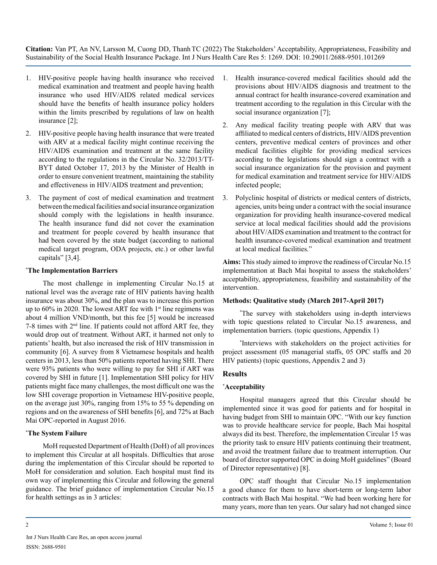- 1. HIV-positive people having health insurance who received medical examination and treatment and people having health insurance who used HIV/AIDS related medical services should have the benefits of health insurance policy holders within the limits prescribed by regulations of law on health insurance [2];
- 2. HIV-positive people having health insurance that were treated with ARV at a medical facility might continue receiving the HIV/AIDS examination and treatment at the same facility according to the regulations in the Circular No. 32/2013/TT-BYT dated October 17, 2013 by the Minister of Health in order to ensure convenient treatment, maintaining the stability and effectiveness in HIV/AIDS treatment and prevention;
- 3. The payment of cost of medical examination and treatment between the medical facilities and social insurance organization should comply with the legislations in health insurance. The health insurance fund did not cover the examination and treatment for people covered by health insurance that had been covered by the state budget (according to national medical target program, ODA projects, etc.) or other lawful capitals" [3,4].

#### **\* The Implementation Barriers**

The most challenge in implementing Circular No.15 at national level was the average rate of HIV patients having health insurance was about 30%, and the plan was to increase this portion up to 60% in 2020. The lowest ART fee with 1<sup>st</sup> line regimens was about 4 million VND/month, but this fee [5] would be increased 7-8 times with 2nd line. If patients could not afford ART fee, they would drop out of treatment. Without ART, it harmed not only to patients' health, but also increased the risk of HIV transmission in community [6]. A survey from 8 Vietnamese hospitals and health centers in 2013, less than 50% patients reported having SHI. There were 93% patients who were willing to pay for SHI if ART was covered by SHI in future [1]. Implementation SHI policy for HIV patients might face many challenges, the most difficult one was the low SHI coverage proportion in Vietnamese HIV-positive people, on the average just 30%, ranging from 15% to 55 % depending on regions and on the awareness of SHI benefits [6], and 72% at Bach Mai OPC-reported in August 2016.

#### **\* The System Failure**

MoH requested Department of Health (DoH) of all provinces to implement this Circular at all hospitals. Difficulties that arose during the implementation of this Circular should be reported to MoH for consideration and solution. Each hospital must find its own way of implementing this Circular and following the general guidance. The brief guidance of implementation Circular No.15 for health settings as in 3 articles:

- 1. Health insurance-covered medical facilities should add the provisions about HIV/AIDS diagnosis and treatment to the annual contract for health insurance-covered examination and treatment according to the regulation in this Circular with the social insurance organization [7];
- 2. Any medical facility treating people with ARV that was affiliated to medical centers of districts, HIV/AIDS prevention centers, preventive medical centers of provinces and other medical facilities eligible for providing medical services according to the legislations should sign a contract with a social insurance organization for the provision and payment for medical examination and treatment service for HIV/AIDS infected people;
- 3. Polyclinic hospital of districts or medical centers of districts, agencies, units being under a contract with the social insurance organization for providing health insurance-covered medical service at local medical facilities should add the provisions about HIV/AIDS examination and treatment to the contract for health insurance-covered medical examination and treatment at local medical facilities."

**Aims:** This study aimed to improve the readiness of Circular No.15 implementation at Bach Mai hospital to assess the stakeholders' acceptability, appropriateness, feasibility and sustainability of the intervention.

#### **Methods: Qualitative study (March 2017-April 2017)**

\* The survey with stakeholders using in-depth interviews with topic questions related to Circular No.15 awareness, and implementation barriers. (topic questions, Appendix 1)

\* Interviews with stakeholders on the project activities for project assessment (05 managerial staffs, 05 OPC staffs and 20 HIV patients) (topic questions, Appendix 2 and 3)

## **Results**

## **\* Acceptability**

Hospital managers agreed that this Circular should be implemented since it was good for patients and for hospital in having budget from SHI to maintain OPC. "With our key function was to provide healthcare service for people, Bach Mai hospital always did its best. Therefore, the implementation Circular 15 was the priority task to ensure HIV patients continuing their treatment, and avoid the treatment failure due to treatment interruption. Our board of director supported OPC in doing MoH guidelines" (Board of Director representative) [8].

OPC staff thought that Circular No.15 implementation a good chance for them to have short-term or long-term labor contracts with Bach Mai hospital. "We had been working here for many years, more than ten years. Our salary had not changed since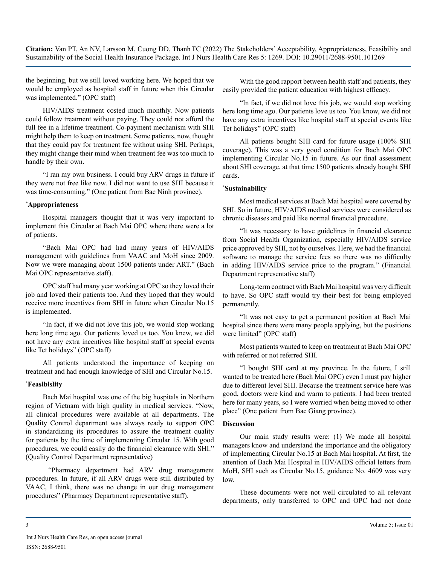the beginning, but we still loved working here. We hoped that we would be employed as hospital staff in future when this Circular was implemented." (OPC staff)

HIV/AIDS treatment costed much monthly. Now patients could follow treatment without paying. They could not afford the full fee in a lifetime treatment. Co-payment mechanism with SHI might help them to keep on treatment. Some patients, now, thought that they could pay for treatment fee without using SHI. Perhaps, they might change their mind when treatment fee was too much to handle by their own.

"I ran my own business. I could buy ARV drugs in future if they were not free like now. I did not want to use SHI because it was time-consuming." (One patient from Bac Ninh province).

#### **\* Appropriateness**

Hospital managers thought that it was very important to implement this Circular at Bach Mai OPC where there were a lot of patients.

"Bach Mai OPC had had many years of HIV/AIDS management with guidelines from VAAC and MoH since 2009. Now we were managing about 1500 patients under ART." (Bach Mai OPC representative staff).

OPC staff had many year working at OPC so they loved their job and loved their patients too. And they hoped that they would receive more incentives from SHI in future when Circular No.15 is implemented.

"In fact, if we did not love this job, we would stop working here long time ago. Our patients loved us too. You knew, we did not have any extra incentives like hospital staff at special events like Tet holidays" (OPC staff)

All patients understood the importance of keeping on treatment and had enough knowledge of SHI and Circular No.15.

#### **\* Feasibislity**

Bach Mai hospital was one of the big hospitals in Northern region of Vietnam with high quality in medical services. "Now, all clinical procedures were available at all departments. The Quality Control department was always ready to support OPC in standardizing its procedures to assure the treatment quality for patients by the time of implementing Circular 15. With good procedures, we could easily do the financial clearance with SHI." (Quality Control Department representative)

 "Pharmacy department had ARV drug management procedures. In future, if all ARV drugs were still distributed by VAAC, I think, there was no change in our drug management procedures" (Pharmacy Department representative staff).

With the good rapport between health staff and patients, they easily provided the patient education with highest efficacy.

"In fact, if we did not love this job, we would stop working here long time ago. Our patients love us too. You know, we did not have any extra incentives like hospital staff at special events like Tet holidays" (OPC staff)

All patients bought SHI card for future usage (100% SHI coverage). This was a very good condition for Bach Mai OPC implementing Circular No.15 in future. As our final assessment about SHI coverage, at that time 1500 patients already bought SHI cards.

#### **\* Sustainability**

Most medical services at Bach Mai hospital were covered by SHI. So in future, HIV/AIDS medical services were considered as chronic diseases and paid like normal financial procedure.

"It was necessary to have guidelines in financial clearance from Social Health Organization, especially HIV/AIDS service price approved by SHI, not by ourselves. Here, we had the financial software to manage the service fees so there was no difficulty in adding HIV/AIDS service price to the program." (Financial Department representative staff)

Long-term contract with Bach Mai hospital was very difficult to have. So OPC staff would try their best for being employed permanently.

"It was not easy to get a permanent position at Bach Mai hospital since there were many people applying, but the positions were limited" (OPC staff)

Most patients wanted to keep on treatment at Bach Mai OPC with referred or not referred SHI.

"I bought SHI card at my province. In the future, I still wanted to be treated here (Bach Mai OPC) even I must pay higher due to different level SHI. Because the treatment service here was good, doctors were kind and warm to patients. I had been treated here for many years, so I were worried when being moved to other place" (One patient from Bac Giang province).

#### **Discussion**

Our main study results were: (1) We made all hospital managers know and understand the importance and the obligatory of implementing Circular No.15 at Bach Mai hospital. At first, the attention of Bach Mai Hospital in HIV/AIDS official letters from MoH, SHI such as Circular No.15, guidance No. 4609 was very low.

These documents were not well circulated to all relevant departments, only transferred to OPC and OPC had not done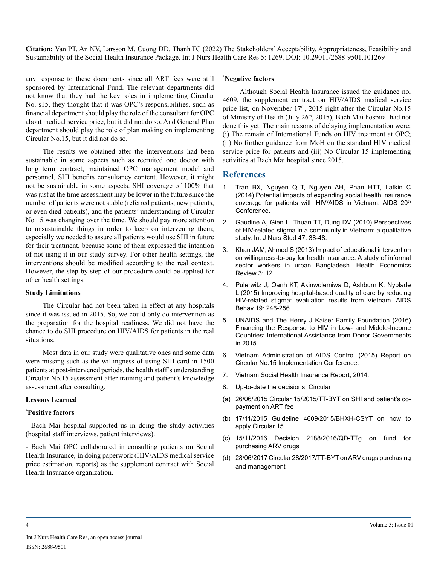any response to these documents since all ART fees were still sponsored by International Fund. The relevant departments did not know that they had the key roles in implementing Circular No. s15, they thought that it was OPC's responsibilities, such as financial department should play the role of the consultant for OPC about medical service price, but it did not do so. And General Plan department should play the role of plan making on implementing Circular No.15, but it did not do so.

The results we obtained after the interventions had been sustainable in some aspects such as recruited one doctor with long term contract, maintained OPC management model and personnel, SHI benefits consultancy content. However, it might not be sustainable in some aspects. SHI coverage of 100% that was just at the time assessment may be lower in the future since the number of patients were not stable (referred patients, new patients, or even died patients), and the patients' understanding of Circular No 15 was changing over the time. We should pay more attention to unsustainable things in order to keep on intervening them; especially we needed to assure all patients would use SHI in future for their treatment, because some of them expressed the intention of not using it in our study survey. For other health settings, the interventions should be modified according to the real context. However, the step by step of our procedure could be applied for other health settings.

#### **Study Limitations**

The Circular had not been taken in effect at any hospitals since it was issued in 2015. So, we could only do intervention as the preparation for the hospital readiness. We did not have the chance to do SHI procedure on HIV/AIDS for patients in the real situations.

Most data in our study were qualitative ones and some data were missing such as the willingness of using SHI card in 1500 patients at post-intervened periods, the health staff's understanding Circular No.15 assessment after training and patient's knowledge assessment after consulting.

#### **Lessons Learned**

#### **\* Positive factors**

- Bach Mai hospital supported us in doing the study activities (hospital staff interviews, patient interviews).

- Bach Mai OPC collaborated in consulting patients on Social Health Insurance, in doing paperwork (HIV/AIDS medical service price estimation, reports) as the supplement contract with Social Health Insurance organization.

#### **\* Negative factors**

Although Social Health Insurance issued the guidance no. 4609, the supplement contract on HIV/AIDS medical service price list, on November 17<sup>th</sup>, 2015 right after the Circular No.15 of Ministry of Health (July 26<sup>th</sup>, 2015), Bach Mai hospital had not done this yet. The main reasons of delaying implementation were: (i) The remain of International Funds on HIV treatment at OPC; (ii) No further guidance from MoH on the standard HIV medical service price for patients and (iii) No Circular 15 implementing activities at Bach Mai hospital since 2015.

# **References**

- 1. Tran BX, Nguyen QLT, Nguyen AH, Phan HTT, Latkin C (2014) Potential impacts of expanding social health insurance coverage for patients with HIV/AIDS in Vietnam. AIDS 20<sup>th</sup> Conference.
- 2. [Gaudine A, Gien L, Thuan TT, Dung DV \(2010\) Perspectives](https://pubmed.ncbi.nlm.nih.gov/19729162/)  [of HIV-related stigma in a community in Vietnam: a qualitative](https://pubmed.ncbi.nlm.nih.gov/19729162/)  [study. Int J Nurs Stud 47: 38-48.](https://pubmed.ncbi.nlm.nih.gov/19729162/)
- 3. [Khan JAM, Ahmed S \(2013\) Impact of educational intervention](https://healtheconomicsreview.biomedcentral.com/articles/10.1186/2191-1991-3-12)  [on willingness-to-pay for health insurance: A study of informal](https://healtheconomicsreview.biomedcentral.com/articles/10.1186/2191-1991-3-12)  [sector workers in urban Bangladesh. Health Economics](https://healtheconomicsreview.biomedcentral.com/articles/10.1186/2191-1991-3-12)  [Review 3: 12.](https://healtheconomicsreview.biomedcentral.com/articles/10.1186/2191-1991-3-12)
- 4. [Pulerwitz J, Oanh KT, Akinwolemiwa D, Ashburn K, Nyblade](https://pubmed.ncbi.nlm.nih.gov/25382350/)  [L \(2015\) Improving hospital-based quality of care by reducing](https://pubmed.ncbi.nlm.nih.gov/25382350/)  [HIV-related stigma: evaluation results from Vietnam. AIDS](https://pubmed.ncbi.nlm.nih.gov/25382350/)  [Behav 19: 246-256.](https://pubmed.ncbi.nlm.nih.gov/25382350/)
- 5. [UNAIDS and The Henry J Kaiser Family Foundation \(2016\)](https://files.kff.org/attachment/Financing-the-Response-to-HIV-in-Low-and-Middle-Income-Countries-International-Assistance-from-Donor-Governments-in-2015)  [Financing the Response to HIV in Low- and Middle-Income](https://files.kff.org/attachment/Financing-the-Response-to-HIV-in-Low-and-Middle-Income-Countries-International-Assistance-from-Donor-Governments-in-2015)  [Countries: International Assistance from Donor Governments](https://files.kff.org/attachment/Financing-the-Response-to-HIV-in-Low-and-Middle-Income-Countries-International-Assistance-from-Donor-Governments-in-2015)  [in 2015.](https://files.kff.org/attachment/Financing-the-Response-to-HIV-in-Low-and-Middle-Income-Countries-International-Assistance-from-Donor-Governments-in-2015)
- 6. [Vietnam Administration of AIDS Control \(2015\) Report on](http://vaac.gov.vn/en-us)  [Circular No.15 Implementation Conference.](http://vaac.gov.vn/en-us)
- 7. [Vietnam Social Health Insurance Report, 2014.](http://www.worldbank.org/vi/news/press-release/2014/09/17/social-health-insurance-in-vietnam-progress-made-but-challenges-remain-to-reach-universal-coverage)
- 8. Up-to-date the decisions, Circular
- (a) 26/06/2015 Circular 15/2015/TT-BYT on SHI and patient's copayment on ART fee
- (b) 17/11/2015 Guideline 4609/2015/BHXH-CSYT on how to apply Circular 15
- (c) 15/11/2016 Decision 2188/2016/QĐ-TTg on fund for purchasing ARV drugs
- (d) 28/06/2017 Circular 28/2017/TT-BYT on ARV drugs purchasing and management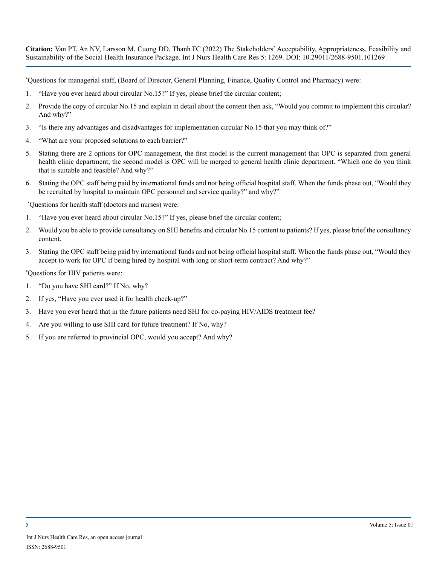\* Questions for managerial staff, (Board of Director, General Planning, Finance, Quality Control and Pharmacy) were:

- 1. "Have you ever heard about circular No.15?" If yes, please brief the circular content;
- 2. Provide the copy of circular No.15 and explain in detail about the content then ask, "Would you commit to implement this circular? And why?"
- 3. "Is there any advantages and disadvantages for implementation circular No.15 that you may think of?"
- 4. "What are your proposed solutions to each barrier?"
- 5. Stating there are 2 options for OPC management, the first model is the current management that OPC is separated from general health clinic department; the second model is OPC will be merged to general health clinic department. "Which one do you think that is suitable and feasible? And why?"
- 6. Stating the OPC staff being paid by international funds and not being official hospital staff. When the funds phase out, "Would they be recruited by hospital to maintain OPC personnel and service quality?" and why?"

\* Questions for health staff (doctors and nurses) were:

- 1. "Have you ever heard about circular No.15?" If yes, please brief the circular content;
- 2. Would you be able to provide consultancy on SHI benefits and circular No.15 content to patients? If yes, please brief the consultancy content.
- 3. Stating the OPC staff being paid by international funds and not being official hospital staff. When the funds phase out, "Would they accept to work for OPC if being hired by hospital with long or short-term contract? And why?"

\* Questions for HIV patients were:

- 1. "Do you have SHI card?" If No, why?
- 2. If yes, "Have you ever used it for health check-up?"
- 3. Have you ever heard that in the future patients need SHI for co-paying HIV/AIDS treatment fee?
- 4. Are you willing to use SHI card for future treatment? If No, why?
- 5. If you are referred to provincial OPC, would you accept? And why?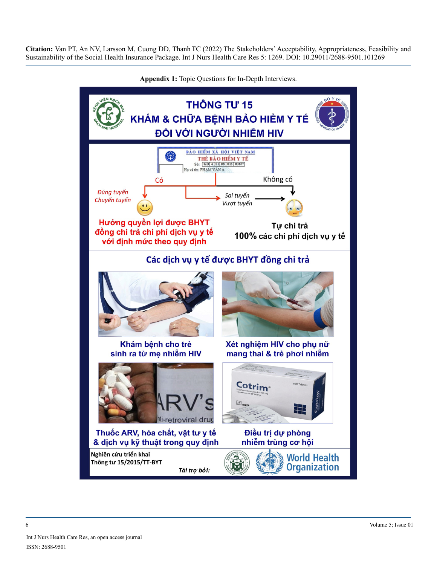